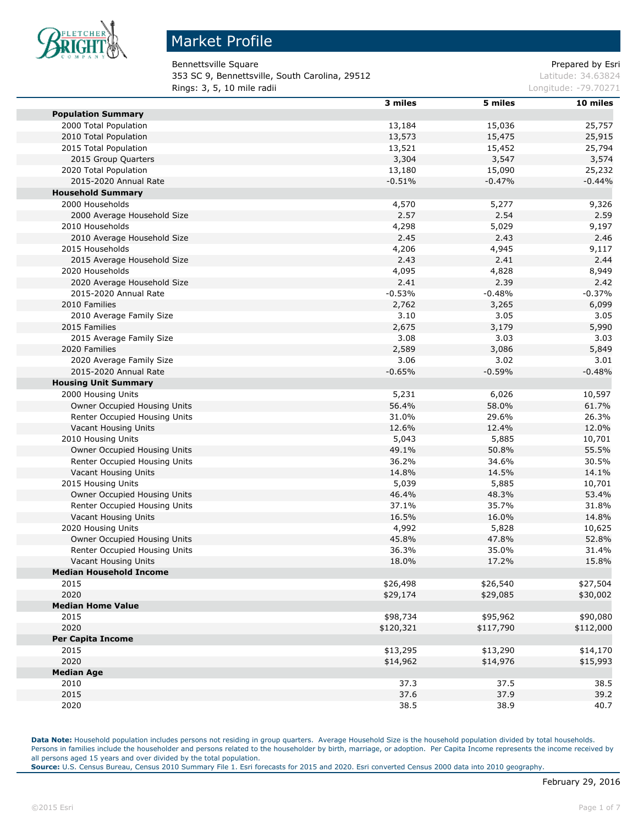

Bennettsville Square **Prepared by Estimate Square** Prepared by Esri

**353 SC 9, Bennettsville, South Carolina, 29512 Latitude: 34.63824** Latitude: 34.63824 **Rings: 3, 5, 10 mile radii** Longitude: -79.70271

|                                | 3 miles   | 5 miles   | 10 miles  |
|--------------------------------|-----------|-----------|-----------|
| <b>Population Summary</b>      |           |           |           |
| 2000 Total Population          | 13,184    | 15,036    | 25,757    |
| 2010 Total Population          | 13,573    | 15,475    | 25,915    |
| 2015 Total Population          | 13,521    | 15,452    | 25,794    |
| 2015 Group Quarters            | 3,304     | 3,547     | 3,574     |
| 2020 Total Population          | 13,180    | 15,090    | 25,232    |
| 2015-2020 Annual Rate          | $-0.51%$  | $-0.47%$  | $-0.44%$  |
| <b>Household Summary</b>       |           |           |           |
| 2000 Households                | 4,570     | 5,277     | 9,326     |
| 2000 Average Household Size    | 2.57      | 2.54      | 2.59      |
| 2010 Households                | 4,298     | 5,029     | 9,197     |
| 2010 Average Household Size    | 2.45      | 2.43      | 2.46      |
| 2015 Households                | 4,206     | 4,945     | 9,117     |
| 2015 Average Household Size    | 2.43      | 2.41      | 2.44      |
| 2020 Households                | 4,095     | 4,828     | 8,949     |
| 2020 Average Household Size    | 2.41      | 2.39      | 2.42      |
| 2015-2020 Annual Rate          | $-0.53%$  | $-0.48%$  | $-0.37%$  |
| 2010 Families                  | 2,762     | 3,265     | 6,099     |
| 2010 Average Family Size       | 3.10      | 3.05      | 3.05      |
| 2015 Families                  | 2,675     | 3,179     | 5,990     |
| 2015 Average Family Size       | 3.08      | 3.03      | 3.03      |
| 2020 Families                  | 2,589     | 3,086     | 5,849     |
| 2020 Average Family Size       | 3.06      | 3.02      | 3.01      |
| 2015-2020 Annual Rate          | $-0.65%$  | $-0.59%$  | $-0.48%$  |
| <b>Housing Unit Summary</b>    |           |           |           |
| 2000 Housing Units             | 5,231     | 6,026     | 10,597    |
| Owner Occupied Housing Units   | 56.4%     | 58.0%     | 61.7%     |
| Renter Occupied Housing Units  | 31.0%     | 29.6%     | 26.3%     |
| Vacant Housing Units           | 12.6%     | 12.4%     | 12.0%     |
| 2010 Housing Units             | 5,043     | 5,885     | 10,701    |
| Owner Occupied Housing Units   | 49.1%     | 50.8%     | 55.5%     |
| Renter Occupied Housing Units  | 36.2%     | 34.6%     | 30.5%     |
| Vacant Housing Units           | 14.8%     | 14.5%     | 14.1%     |
| 2015 Housing Units             | 5,039     | 5,885     | 10,701    |
| Owner Occupied Housing Units   | 46.4%     | 48.3%     | 53.4%     |
| Renter Occupied Housing Units  | 37.1%     | 35.7%     | 31.8%     |
| Vacant Housing Units           | 16.5%     | 16.0%     | 14.8%     |
| 2020 Housing Units             | 4,992     | 5,828     | 10,625    |
| Owner Occupied Housing Units   | 45.8%     | 47.8%     | 52.8%     |
| Renter Occupied Housing Units  | 36.3%     | 35.0%     | 31.4%     |
| Vacant Housing Units           | 18.0%     | 17.2%     | 15.8%     |
| <b>Median Household Income</b> |           |           |           |
| 2015                           | \$26,498  | \$26,540  | \$27,504  |
| 2020                           | \$29,174  | \$29,085  | \$30,002  |
| <b>Median Home Value</b>       |           |           |           |
| 2015                           | \$98,734  | \$95,962  | \$90,080  |
| 2020                           | \$120,321 | \$117,790 | \$112,000 |
| <b>Per Capita Income</b>       |           |           |           |
| 2015                           | \$13,295  | \$13,290  | \$14,170  |
| 2020                           | \$14,962  | \$14,976  | \$15,993  |
| <b>Median Age</b>              |           |           |           |
| 2010                           | 37.3      | 37.5      | 38.5      |
| 2015                           | 37.6      | 37.9      | 39.2      |
| 2020                           | 38.5      | 38.9      | 40.7      |
|                                |           |           |           |

**Data Note:** Household population includes persons not residing in group quarters. Average Household Size is the household population divided by total households. Persons in families include the householder and persons related to the householder by birth, marriage, or adoption. Per Capita Income represents the income received by all persons aged 15 years and over divided by the total population.

**Source:** U.S. Census Bureau, Census 2010 Summary File 1. Esri forecasts for 2015 and 2020. Esri converted Census 2000 data into 2010 geography.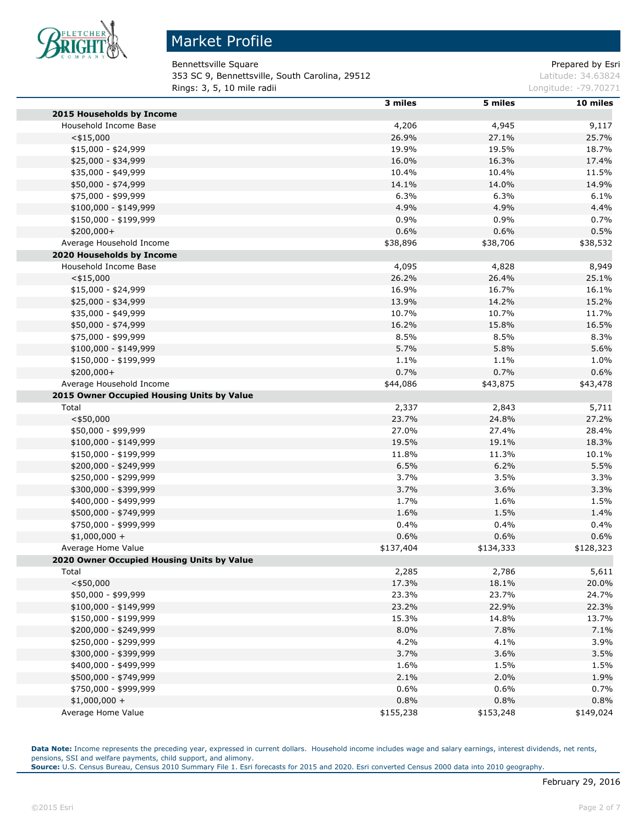

Bennettsville Square **Prepared by Estimate Square** Prepared by Esri **353 SC 9, Bennettsville, South Carolina, 29512 Latitude: 34.63824** Latitude: 34.63824 **Rings: 3, 5, 10 mile radii Longitude: -79.70271 Longitude: -79.70271** 

|                                            | 3 miles   | 5 miles   | 10 miles  |
|--------------------------------------------|-----------|-----------|-----------|
| 2015 Households by Income                  |           |           |           |
| Household Income Base                      | 4,206     | 4,945     | 9,117     |
| $<$ \$15,000                               | 26.9%     | 27.1%     | 25.7%     |
| $$15,000 - $24,999$                        | 19.9%     | 19.5%     | 18.7%     |
| \$25,000 - \$34,999                        | 16.0%     | 16.3%     | 17.4%     |
| \$35,000 - \$49,999                        | 10.4%     | 10.4%     | 11.5%     |
| \$50,000 - \$74,999                        | 14.1%     | 14.0%     | 14.9%     |
| \$75,000 - \$99,999                        | 6.3%      | 6.3%      | 6.1%      |
| $$100,000 - $149,999$                      | 4.9%      | 4.9%      | 4.4%      |
| \$150,000 - \$199,999                      | 0.9%      | 0.9%      | 0.7%      |
| $$200,000+$                                | 0.6%      | 0.6%      | 0.5%      |
| Average Household Income                   | \$38,896  | \$38,706  | \$38,532  |
| 2020 Households by Income                  |           |           |           |
| Household Income Base                      | 4,095     | 4,828     | 8,949     |
| $<$ \$15,000                               | 26.2%     | 26.4%     | 25.1%     |
| $$15,000 - $24,999$                        | 16.9%     | 16.7%     | 16.1%     |
| \$25,000 - \$34,999                        | 13.9%     | 14.2%     | 15.2%     |
| \$35,000 - \$49,999                        | 10.7%     | 10.7%     | 11.7%     |
| \$50,000 - \$74,999                        | 16.2%     | 15.8%     | 16.5%     |
| \$75,000 - \$99,999                        | 8.5%      | 8.5%      | 8.3%      |
| \$100,000 - \$149,999                      | 5.7%      | 5.8%      | 5.6%      |
| \$150,000 - \$199,999                      | 1.1%      | 1.1%      | 1.0%      |
| \$200,000+                                 | 0.7%      | 0.7%      | 0.6%      |
| Average Household Income                   | \$44,086  | \$43,875  | \$43,478  |
| 2015 Owner Occupied Housing Units by Value |           |           |           |
| Total                                      | 2,337     | 2,843     | 5,711     |
| $<$ \$50,000                               | 23.7%     | 24.8%     | 27.2%     |
| \$50,000 - \$99,999                        | 27.0%     | 27.4%     | 28.4%     |
| \$100,000 - \$149,999                      | 19.5%     | 19.1%     | 18.3%     |
| \$150,000 - \$199,999                      | 11.8%     | 11.3%     | 10.1%     |
| \$200,000 - \$249,999                      | 6.5%      | 6.2%      | 5.5%      |
| \$250,000 - \$299,999                      | 3.7%      | 3.5%      | 3.3%      |
| \$300,000 - \$399,999                      | 3.7%      | 3.6%      | 3.3%      |
| \$400,000 - \$499,999                      | 1.7%      | 1.6%      | 1.5%      |
| \$500,000 - \$749,999                      | 1.6%      | 1.5%      | 1.4%      |
| \$750,000 - \$999,999                      | 0.4%      | 0.4%      | 0.4%      |
| $$1,000,000 +$                             | 0.6%      | 0.6%      | 0.6%      |
| Average Home Value                         | \$137,404 | \$134,333 | \$128,323 |
| 2020 Owner Occupied Housing Units by Value |           |           |           |
| Total                                      | 2,285     | 2,786     | 5,611     |
| $<$ \$50,000                               | 17.3%     | 18.1%     | 20.0%     |
| \$50,000 - \$99,999                        | 23.3%     | 23.7%     | 24.7%     |
| $$100,000 - $149,999$                      | 23.2%     | 22.9%     | 22.3%     |
| \$150,000 - \$199,999                      | 15.3%     | 14.8%     | 13.7%     |
| \$200,000 - \$249,999                      | 8.0%      | 7.8%      | 7.1%      |
| \$250,000 - \$299,999                      | 4.2%      | 4.1%      | 3.9%      |
| \$300,000 - \$399,999                      | 3.7%      | 3.6%      | 3.5%      |
| \$400,000 - \$499,999                      | 1.6%      | 1.5%      | 1.5%      |
| \$500,000 - \$749,999                      | 2.1%      | 2.0%      | 1.9%      |
| \$750,000 - \$999,999                      | 0.6%      | 0.6%      | 0.7%      |
| $$1,000,000 +$                             | 0.8%      | 0.8%      | 0.8%      |
| Average Home Value                         | \$155,238 | \$153,248 | \$149,024 |
|                                            |           |           |           |

Data Note: Income represents the preceding year, expressed in current dollars. Household income includes wage and salary earnings, interest dividends, net rents, pensions, SSI and welfare payments, child support, and alimony.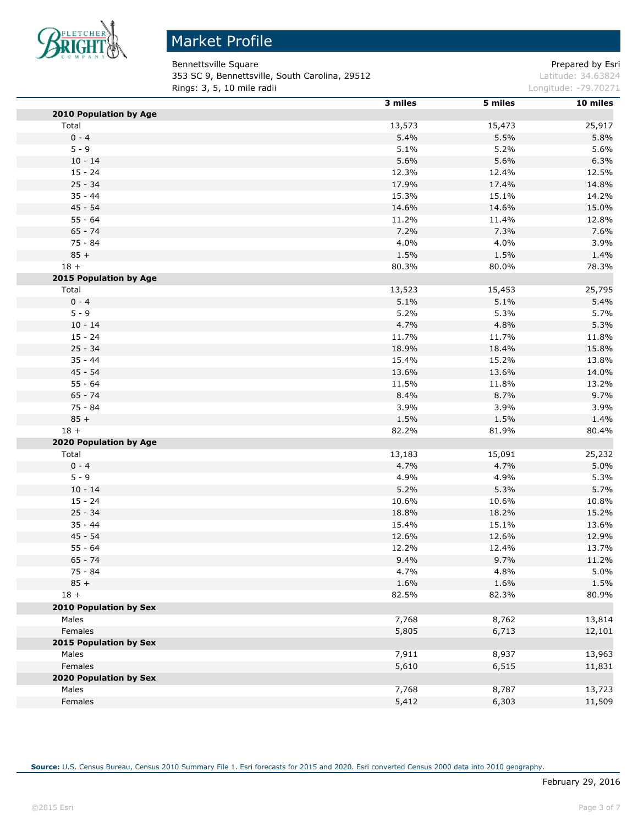

Bennettsville Square **Prepared by Estimate Square** Prepared by Esri 353 SC 9, Bennettsville, South Carolina, 29512 Latitude: 34.63824 **Rings: 3, 5, 10 mile radii Longitude: -79.70271 Longitude: -79.70271** 

|                        | 3 miles      | 5 miles | 10 miles       |
|------------------------|--------------|---------|----------------|
| 2010 Population by Age |              |         |                |
| Total                  | 13,573       | 15,473  | 25,917         |
| $0 - 4$                | 5.4%         | 5.5%    | 5.8%           |
| $5 - 9$                | 5.1%         | 5.2%    | 5.6%           |
| $10 - 14$              | 5.6%         | 5.6%    | 6.3%           |
| $15 - 24$              | 12.3%        | 12.4%   | 12.5%          |
| $25 - 34$              | 17.9%        | 17.4%   | 14.8%          |
| $35 - 44$              | 15.3%        | 15.1%   | 14.2%          |
| $45 - 54$              | 14.6%        | 14.6%   | 15.0%          |
| $55 - 64$              | 11.2%        | 11.4%   | 12.8%          |
| $65 - 74$              | 7.2%         | 7.3%    | 7.6%           |
| $75 - 84$              | 4.0%         | 4.0%    | 3.9%           |
| $85 +$                 | 1.5%         | 1.5%    | 1.4%           |
| $18 +$                 | 80.3%        | 80.0%   | 78.3%          |
| 2015 Population by Age |              |         |                |
| Total                  | 13,523       | 15,453  | 25,795         |
| $0 - 4$                | 5.1%         | 5.1%    | 5.4%           |
| $5 - 9$                | 5.2%         | 5.3%    | 5.7%           |
| $10 - 14$              | 4.7%         | 4.8%    | 5.3%           |
| $15 - 24$              | 11.7%        | 11.7%   | 11.8%          |
| $25 - 34$              | 18.9%        | 18.4%   | 15.8%          |
| $35 - 44$              | 15.4%        | 15.2%   | 13.8%          |
| $45 - 54$              | 13.6%        | 13.6%   | 14.0%          |
| $55 - 64$              | 11.5%        | 11.8%   | 13.2%          |
| $65 - 74$              | 8.4%         | 8.7%    | 9.7%           |
| $75 - 84$              | 3.9%         | 3.9%    | 3.9%           |
| $85 +$                 | 1.5%         | 1.5%    | 1.4%           |
| $18 +$                 | 82.2%        | 81.9%   | 80.4%          |
| 2020 Population by Age |              |         |                |
| Total                  | 13,183       | 15,091  | 25,232         |
| $0 - 4$                | 4.7%         | 4.7%    | 5.0%           |
| $5 - 9$                | 4.9%         | 4.9%    | 5.3%           |
| $10 - 14$              | 5.2%         | 5.3%    | 5.7%           |
| $15 - 24$              | 10.6%        | 10.6%   | 10.8%          |
| $25 - 34$              | 18.8%        | 18.2%   | 15.2%          |
| $35 - 44$              | 15.4%        | 15.1%   |                |
| 45 - 54                | 12.6%        | 12.6%   | 13.6%<br>12.9% |
| $55 - 64$              | 12.2%        | 12.4%   | 13.7%          |
|                        |              |         |                |
| $65 - 74$<br>$75 - 84$ | 9.4%<br>4.7% | 9.7%    | 11.2%<br>5.0%  |
|                        | 1.6%         | 4.8%    |                |
| $85 +$                 |              | 1.6%    | 1.5%           |
| $18 +$                 | 82.5%        | 82.3%   | 80.9%          |
| 2010 Population by Sex |              |         |                |
| Males                  | 7,768        | 8,762   | 13,814         |
| Females                | 5,805        | 6,713   | 12,101         |
| 2015 Population by Sex |              |         |                |
| Males                  | 7,911        | 8,937   | 13,963         |
| Females                | 5,610        | 6,515   | 11,831         |
| 2020 Population by Sex |              |         |                |
| Males                  | 7,768        | 8,787   | 13,723         |
| Females                | 5,412        | 6,303   | 11,509         |

**Source:** U.S. Census Bureau, Census 2010 Summary File 1. Esri forecasts for 2015 and 2020. Esri converted Census 2000 data into 2010 geography.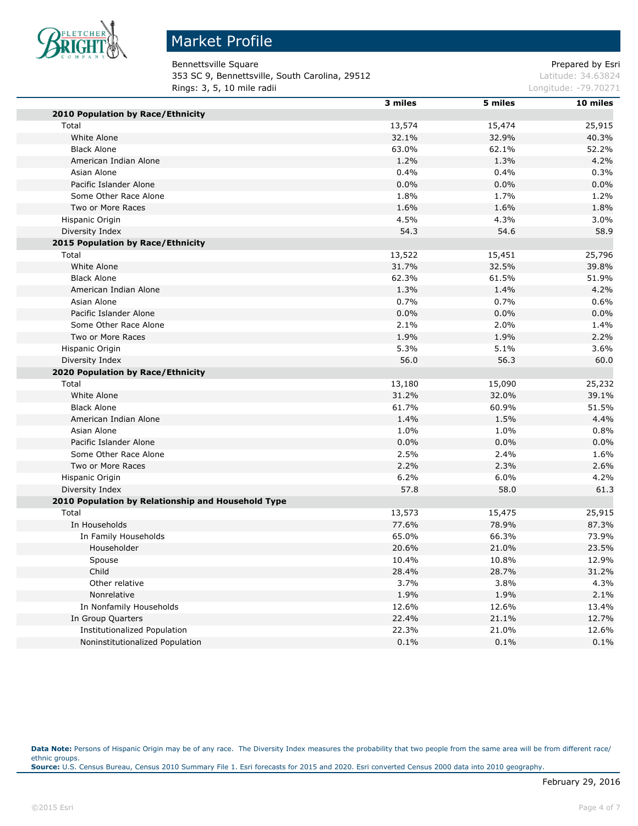

# Market Profile

Bennettsville Square **Prepared by Esri** Prepared by Esri **353 SC 9, Bennettsville, South Carolina, 29512 Latitude: 34.63824** Latitude: 34.63824 **Rings: 3, 5, 10 mile radii Longitude: -79.70271 Longitude: -79.70271** 

|                                                    | 3 miles | 5 miles | 10 miles |
|----------------------------------------------------|---------|---------|----------|
| 2010 Population by Race/Ethnicity                  |         |         |          |
| Total                                              | 13,574  | 15,474  | 25,915   |
| White Alone                                        | 32.1%   | 32.9%   | 40.3%    |
| <b>Black Alone</b>                                 | 63.0%   | 62.1%   | 52.2%    |
| American Indian Alone                              | 1.2%    | 1.3%    | 4.2%     |
| Asian Alone                                        | 0.4%    | 0.4%    | 0.3%     |
| Pacific Islander Alone                             | 0.0%    | 0.0%    | 0.0%     |
| Some Other Race Alone                              | 1.8%    | 1.7%    | 1.2%     |
| Two or More Races                                  | 1.6%    | 1.6%    | 1.8%     |
| Hispanic Origin                                    | 4.5%    | 4.3%    | 3.0%     |
| Diversity Index                                    | 54.3    | 54.6    | 58.9     |
| 2015 Population by Race/Ethnicity                  |         |         |          |
| Total                                              | 13,522  | 15,451  | 25,796   |
| White Alone                                        | 31.7%   | 32.5%   | 39.8%    |
| <b>Black Alone</b>                                 | 62.3%   | 61.5%   | 51.9%    |
| American Indian Alone                              | 1.3%    | 1.4%    | 4.2%     |
| Asian Alone                                        | 0.7%    | 0.7%    | 0.6%     |
| Pacific Islander Alone                             | 0.0%    | 0.0%    | 0.0%     |
| Some Other Race Alone                              | 2.1%    | 2.0%    | 1.4%     |
| Two or More Races                                  | 1.9%    | 1.9%    | 2.2%     |
| Hispanic Origin                                    | 5.3%    | 5.1%    | 3.6%     |
| Diversity Index                                    | 56.0    | 56.3    | 60.0     |
| 2020 Population by Race/Ethnicity                  |         |         |          |
| Total                                              | 13,180  | 15,090  | 25,232   |
| White Alone                                        | 31.2%   | 32.0%   | 39.1%    |
| <b>Black Alone</b>                                 | 61.7%   | 60.9%   | 51.5%    |
| American Indian Alone                              | 1.4%    | 1.5%    | 4.4%     |
| Asian Alone                                        | 1.0%    | 1.0%    | 0.8%     |
| Pacific Islander Alone                             | 0.0%    | 0.0%    | 0.0%     |
| Some Other Race Alone                              | 2.5%    | 2.4%    | 1.6%     |
| Two or More Races                                  | 2.2%    | 2.3%    | 2.6%     |
| Hispanic Origin                                    | 6.2%    | 6.0%    | 4.2%     |
| Diversity Index                                    | 57.8    | 58.0    | 61.3     |
| 2010 Population by Relationship and Household Type |         |         |          |
| Total                                              | 13,573  | 15,475  | 25,915   |
| In Households                                      | 77.6%   | 78.9%   | 87.3%    |
| In Family Households                               | 65.0%   | 66.3%   | 73.9%    |
| Householder                                        | 20.6%   | 21.0%   | 23.5%    |
| Spouse                                             | 10.4%   | 10.8%   | 12.9%    |
| Child                                              | 28.4%   | 28.7%   | 31.2%    |
| Other relative                                     | 3.7%    | 3.8%    | 4.3%     |
| Nonrelative                                        | 1.9%    | 1.9%    | 2.1%     |
| In Nonfamily Households                            | 12.6%   | 12.6%   | 13.4%    |
| In Group Quarters                                  | 22.4%   | 21.1%   | 12.7%    |
| Institutionalized Population                       | 22.3%   | 21.0%   | 12.6%    |
| Noninstitutionalized Population                    | 0.1%    | 0.1%    | 0.1%     |

Data Note: Persons of Hispanic Origin may be of any race. The Diversity Index measures the probability that two people from the same area will be from different race/ ethnic groups. **Source:** U.S. Census Bureau, Census 2010 Summary File 1. Esri forecasts for 2015 and 2020. Esri converted Census 2000 data into 2010 geography.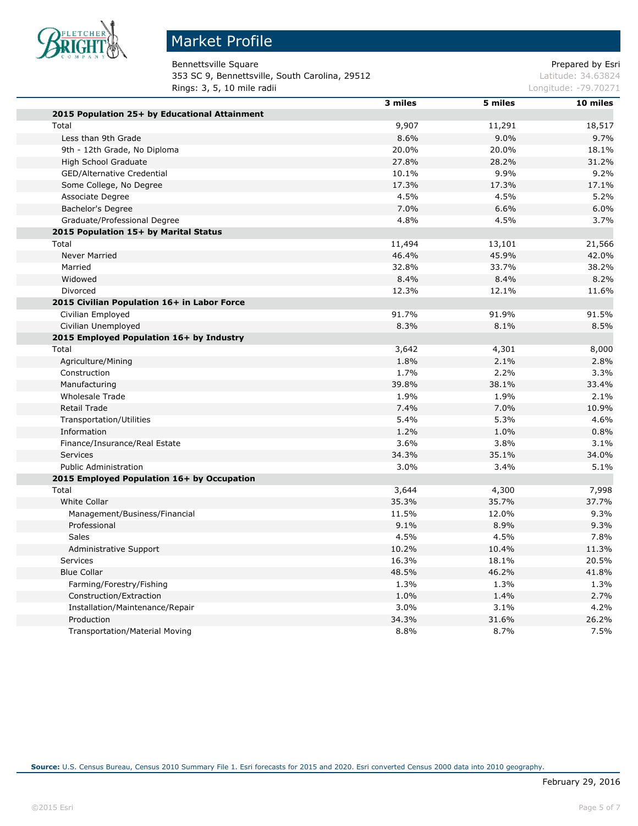

Bennettsville Square **Prepared by Esri** Prepared by Esri **353 SC 9, Bennettsville, South Carolina, 29512 Latitude: 34.63824** Latitude: 34.63824 **Rings: 3, 5, 10 mile radii Longitude: -79.70271 Longitude: -79.70271** 

|                                               | 3 miles | 5 miles | 10 miles |
|-----------------------------------------------|---------|---------|----------|
| 2015 Population 25+ by Educational Attainment |         |         |          |
| Total                                         | 9,907   | 11,291  | 18,517   |
| Less than 9th Grade                           | 8.6%    | 9.0%    | 9.7%     |
| 9th - 12th Grade, No Diploma                  | 20.0%   | 20.0%   | 18.1%    |
| High School Graduate                          | 27.8%   | 28.2%   | 31.2%    |
| GED/Alternative Credential                    | 10.1%   | 9.9%    | 9.2%     |
| Some College, No Degree                       | 17.3%   | 17.3%   | 17.1%    |
| Associate Degree                              | 4.5%    | 4.5%    | 5.2%     |
| Bachelor's Degree                             | 7.0%    | 6.6%    | 6.0%     |
| Graduate/Professional Degree                  | 4.8%    | 4.5%    | 3.7%     |
| 2015 Population 15+ by Marital Status         |         |         |          |
| Total                                         | 11,494  | 13,101  | 21,566   |
| Never Married                                 | 46.4%   | 45.9%   | 42.0%    |
| Married                                       | 32.8%   | 33.7%   | 38.2%    |
| Widowed                                       | 8.4%    | 8.4%    | 8.2%     |
| Divorced                                      | 12.3%   | 12.1%   | 11.6%    |
| 2015 Civilian Population 16+ in Labor Force   |         |         |          |
| Civilian Employed                             | 91.7%   | 91.9%   | 91.5%    |
| Civilian Unemployed                           | 8.3%    | 8.1%    | 8.5%     |
| 2015 Employed Population 16+ by Industry      |         |         |          |
| Total                                         | 3,642   | 4,301   | 8,000    |
| Agriculture/Mining                            | 1.8%    | 2.1%    | 2.8%     |
| Construction                                  | 1.7%    | 2.2%    | 3.3%     |
| Manufacturing                                 | 39.8%   | 38.1%   | 33.4%    |
| <b>Wholesale Trade</b>                        | 1.9%    | 1.9%    | 2.1%     |
| <b>Retail Trade</b>                           | 7.4%    | 7.0%    | 10.9%    |
| Transportation/Utilities                      | 5.4%    | 5.3%    | 4.6%     |
| Information                                   | 1.2%    | 1.0%    | 0.8%     |
| Finance/Insurance/Real Estate                 | 3.6%    | 3.8%    | 3.1%     |
| <b>Services</b>                               | 34.3%   | 35.1%   | 34.0%    |
| <b>Public Administration</b>                  | 3.0%    | 3.4%    | 5.1%     |
| 2015 Employed Population 16+ by Occupation    |         |         |          |
| Total                                         | 3,644   | 4,300   | 7,998    |
| White Collar                                  | 35.3%   | 35.7%   | 37.7%    |
| Management/Business/Financial                 | 11.5%   | 12.0%   | 9.3%     |
| Professional                                  | 9.1%    | 8.9%    | 9.3%     |
| <b>Sales</b>                                  | 4.5%    | 4.5%    | 7.8%     |
| Administrative Support                        | 10.2%   | 10.4%   | 11.3%    |
| Services                                      | 16.3%   | 18.1%   | 20.5%    |
| <b>Blue Collar</b>                            | 48.5%   | 46.2%   | 41.8%    |
| Farming/Forestry/Fishing                      | 1.3%    | 1.3%    | 1.3%     |
| Construction/Extraction                       | 1.0%    | 1.4%    | 2.7%     |
| Installation/Maintenance/Repair               | 3.0%    | 3.1%    | 4.2%     |
| Production                                    | 34.3%   | 31.6%   | 26.2%    |
| <b>Transportation/Material Moving</b>         | 8.8%    | 8.7%    | 7.5%     |
|                                               |         |         |          |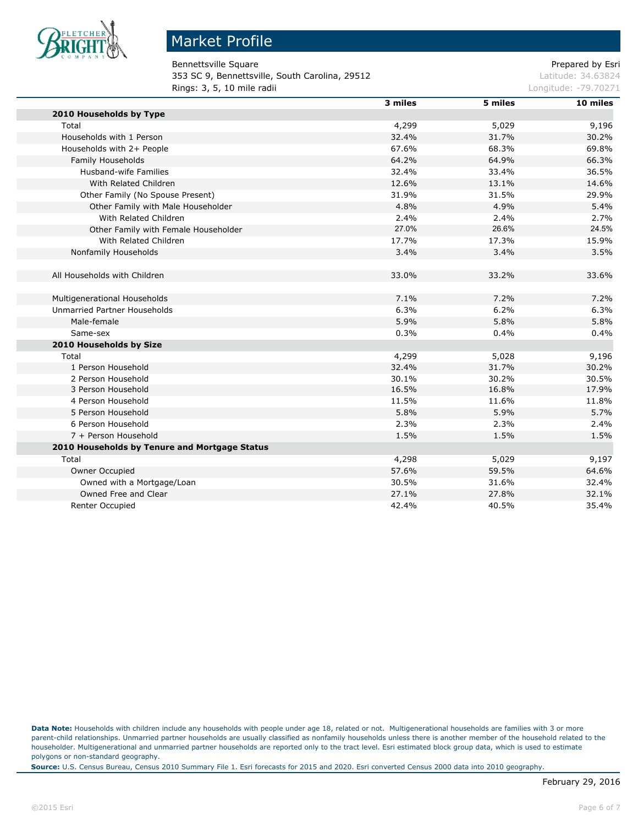

#### Market Profile

Bennettsville Square **Prepared by Esri** Prepared by Esri **353 SC 9, Bennettsville, South Carolina, 29512** Latitude: 34.63824 **Rings: 3, 5, 10 mile radii Longitude: -79.70271 Longitude: -79.70271** 

|                                               | 3 miles | 5 miles | 10 miles |
|-----------------------------------------------|---------|---------|----------|
| 2010 Households by Type                       |         |         |          |
| Total                                         | 4,299   | 5,029   | 9,196    |
| Households with 1 Person                      | 32.4%   | 31.7%   | 30.2%    |
| Households with 2+ People                     | 67.6%   | 68.3%   | 69.8%    |
| Family Households                             | 64.2%   | 64.9%   | 66.3%    |
| Husband-wife Families                         | 32.4%   | 33.4%   | 36.5%    |
| With Related Children                         | 12.6%   | 13.1%   | 14.6%    |
| Other Family (No Spouse Present)              | 31.9%   | 31.5%   | 29.9%    |
| Other Family with Male Householder            | 4.8%    | 4.9%    | 5.4%     |
| With Related Children                         | 2.4%    | 2.4%    | 2.7%     |
| Other Family with Female Householder          | 27.0%   | 26.6%   | 24.5%    |
| With Related Children                         | 17.7%   | 17.3%   | 15.9%    |
| Nonfamily Households                          | 3.4%    | 3.4%    | 3.5%     |
| All Households with Children                  | 33.0%   | 33.2%   | 33.6%    |
| Multigenerational Households                  | 7.1%    | 7.2%    | 7.2%     |
| <b>Unmarried Partner Households</b>           | 6.3%    | 6.2%    | 6.3%     |
| Male-female                                   | 5.9%    | 5.8%    | 5.8%     |
| Same-sex                                      | 0.3%    | 0.4%    | 0.4%     |
| 2010 Households by Size                       |         |         |          |
| Total                                         | 4,299   | 5,028   | 9,196    |
| 1 Person Household                            | 32.4%   | 31.7%   | 30.2%    |
| 2 Person Household                            | 30.1%   | 30.2%   | 30.5%    |
| 3 Person Household                            | 16.5%   | 16.8%   | 17.9%    |
| 4 Person Household                            | 11.5%   | 11.6%   | 11.8%    |
| 5 Person Household                            | 5.8%    | 5.9%    | 5.7%     |
| 6 Person Household                            | 2.3%    | 2.3%    | 2.4%     |
| 7 + Person Household                          | 1.5%    | 1.5%    | 1.5%     |
| 2010 Households by Tenure and Mortgage Status |         |         |          |
| Total                                         | 4,298   | 5,029   | 9,197    |
| Owner Occupied                                | 57.6%   | 59.5%   | 64.6%    |
| Owned with a Mortgage/Loan                    | 30.5%   | 31.6%   | 32.4%    |
| Owned Free and Clear                          | 27.1%   | 27.8%   | 32.1%    |
| Renter Occupied                               | 42.4%   | 40.5%   | 35.4%    |

**Data Note:** Households with children include any households with people under age 18, related or not. Multigenerational households are families with 3 or more parent-child relationships. Unmarried partner households are usually classified as nonfamily households unless there is another member of the household related to the householder. Multigenerational and unmarried partner households are reported only to the tract level. Esri estimated block group data, which is used to estimate polygons or non-standard geography.

**Source:** U.S. Census Bureau, Census 2010 Summary File 1. Esri forecasts for 2015 and 2020. Esri converted Census 2000 data into 2010 geography.